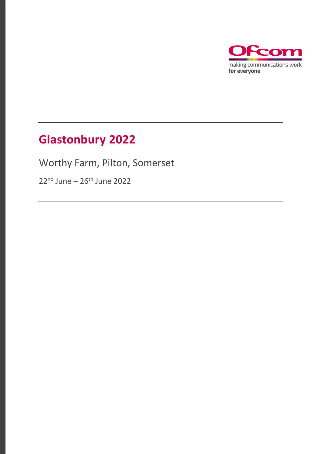

## **Glastonbury 2022**

Worthy Farm, Pilton, Somerset

22<sup>nd</sup> June – 26<sup>th</sup> June 2022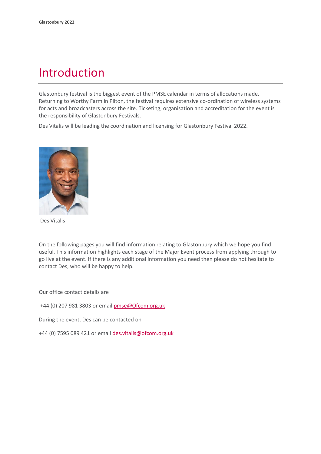### Introduction

Glastonbury festival is the biggest event of the PMSE calendar in terms of allocations made. Returning to Worthy Farm in Pilton, the festival requires extensive co-ordination of wireless systems for acts and broadcasters across the site. Ticketing, organisation and accreditation for the event is the responsibility of Glastonbury Festivals.

Des Vitalis will be leading the coordination and licensing for Glastonbury Festival 2022.



Des Vitalis

On the following pages you will find information relating to Glastonbury which we hope you find useful. This information highlights each stage of the Major Event process from applying through to go live at the event. If there is any additional information you need then please do not hesitate to contact Des, who will be happy to help.

Our office contact details are

+44 (0) 207 981 3803 or emai[l pmse@Ofcom.org.uk](mailto:pmse@arqiva.com)

During the event, Des can be contacted on

+44 (0) 7595 089 421 or email des.vitalis@ofcom.org.uk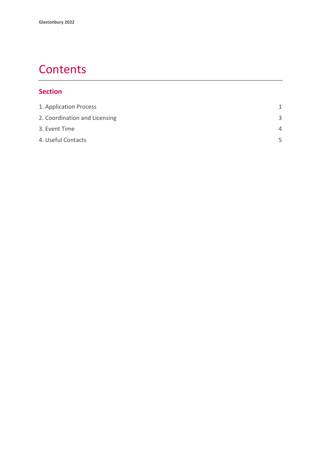### **Contents**

#### **Section**

| 1. Application Process        | 1        |
|-------------------------------|----------|
| 2. Coordination and Licensing | 3        |
| 3. Event Time                 | $\Delta$ |
| 4. Useful Contacts            | 5        |
|                               |          |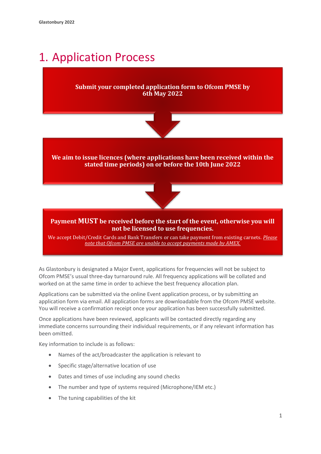### <span id="page-3-0"></span>1. Application Process

#### **Submit your completed application form to Ofcom PMSE by 6th May 2022**



**We aim to issue licences (where applications have been received within the stated time periods) on or before the 10th June 2022**



#### **Payment MUST be received before the start of the event, otherwise you will not be licensed to use frequencies.**

We accept Debit/Credit Cards and Bank Transfers or can take payment from existing carnets. *Please note that Ofcom PMSE are unable to accept payments made by AMEX.*

As Glastonbury is designated a Major Event, applications for frequencies will not be subject to Ofcom PMSE's usual three-day turnaround rule. All frequency applications will be collated and worked on at the same time in order to achieve the best frequency allocation plan.

Applications can be submitted via the online Event application process, or by submitting an application form via email. All application forms are downloadable from the Ofcom PMSE website. You will receive a confirmation receipt once your application has been successfully submitted.

Once applications have been reviewed, applicants will be contacted directly regarding any immediate concerns surrounding their individual requirements, or if any relevant information has been omitted.

Key information to include is as follows:

- Names of the act/broadcaster the application is relevant to
- Specific stage/alternative location of use
- Dates and times of use including any sound checks
- The number and type of systems required (Microphone/IEM etc.)
- The tuning capabilities of the kit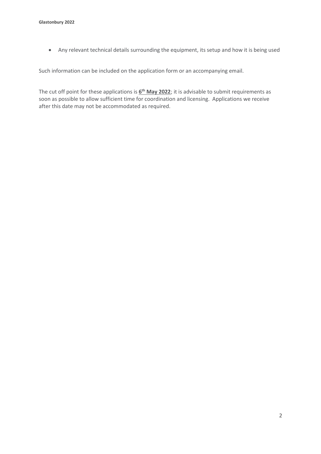• Any relevant technical details surrounding the equipment, its setup and how it is being used

Such information can be included on the application form or an accompanying email.

The cut off point for these applications is **6 th May 2022**; it is advisable to submit requirements as soon as possible to allow sufficient time for coordination and licensing. Applications we receive after this date may not be accommodated as required.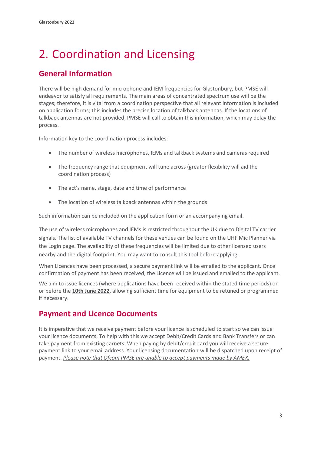# <span id="page-5-0"></span>2. Coordination and Licensing

#### **General Information**

There will be high demand for microphone and IEM frequencies for Glastonbury, but PMSE will endeavor to satisfy all requirements. The main areas of concentrated spectrum use will be the stages; therefore, it is vital from a coordination perspective that all relevant information is included on application forms; this includes the precise location of talkback antennas. If the locations of talkback antennas are not provided, PMSE will call to obtain this information, which may delay the process.

Information key to the coordination process includes:

- The number of wireless microphones, IEMs and talkback systems and cameras required
- The frequency range that equipment will tune across (greater flexibility will aid the coordination process)
- The act's name, stage, date and time of performance
- The location of wireless talkback antennas within the grounds

Such information can be included on the application form or an accompanying email.

The use of wireless microphones and IEMs is restricted throughout the UK due to Digital TV carrier signals. The list of available TV channels for these venues can be found on the UHF Mic Planner via the Login page. The availability of these frequencies will be limited due to other licensed users nearby and the digital footprint. You may want to consult this tool before applying.

When Licences have been processed, a secure payment link will be emailed to the applicant. Once confirmation of payment has been received, the Licence will be issued and emailed to the applicant.

We aim to issue licences (where applications have been received within the stated time periods) on or before the **10th June 2022**, allowing sufficient time for equipment to be retuned or programmed if necessary.

#### **Payment and Licence Documents**

It is imperative that we receive payment before your licence is scheduled to start so we can issue your licence documents. To help with this we accept Debit/Credit Cards and Bank Transfers or can take payment from existing carnets. When paying by debit/credit card you will receive a secure payment link to your email address. Your licensing documentation will be dispatched upon receipt of payment. *Please note that Ofcom PMSE are unable to accept payments made by AMEX.*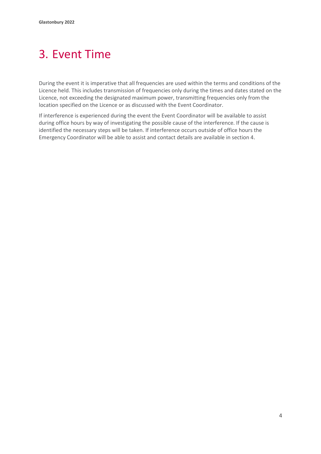## <span id="page-6-0"></span>3. Event Time

During the event it is imperative that all frequencies are used within the terms and conditions of the Licence held. This includes transmission of frequencies only during the times and dates stated on the Licence, not exceeding the designated maximum power, transmitting frequencies only from the location specified on the Licence or as discussed with the Event Coordinator.

If interference is experienced during the event the Event Coordinator will be available to assist during office hours by way of investigating the possible cause of the interference. If the cause is identified the necessary steps will be taken. If interference occurs outside of office hours the Emergency Coordinator will be able to assist and contact details are available in section 4.